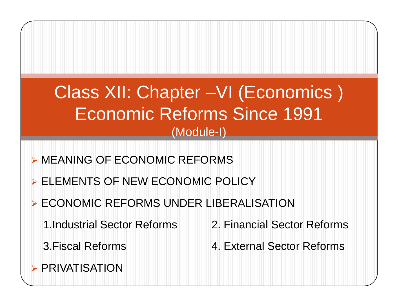# Class XII: Chapter –VI (Economics ) Economic Reforms Since 1991 (Module-I)

- MEANING OF ECONOMIC REFORMS
- **ELEMENTS OF NEW ECONOMIC POLICY**
- **ECONOMIC REFORMS UNDER LIBERALISATION** 
	- 1.Industrial Sector Reforms 2. Financial Sector Reforms
		-
- 
- 3.Fiscal Reforms 4. External Sector Reforms
- **> PRIVATISATION**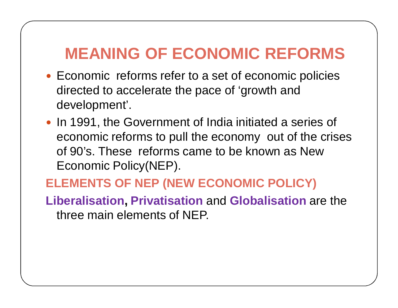# **MEANING OF ECONOMIC REFORMS**

- Economic reforms refer to a set of economic policies directed to accelerate the pace of 'growth and development'.
- In 1991, the Government of India initiated a series of economic reforms to pull the economy out of the crises of 90's. These reforms came to be known as New Economic Policy(NEP).

### **ELEMENTS OF NEP (NEW ECONOMIC POLICY)**

**Liberalisation, Privatisation** and **Globalisation** are the three main elements of NEP.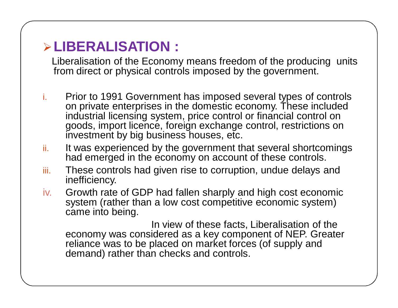## **LIBERALISATION :**

Liberalisation of the Economy means freedom of the producing units from direct or physical controls imposed by the government.

- i. Prior to 1991 Government has imposed several types of controls on private enterprises in the domestic economy. These included industrial licensing system, price control or financial control on goods, import licence, foreign exchange control, restrictions on investment by big business houses, etc.
- ii. It was experienced by the government that several shortcomings had emerged in the economy on account of these controls.
- iii. These controls had given rise to corruption, undue delays and inefficiency.
- iv. Growth rate of GDP had fallen sharply and high cost economic system (rather than a low cost competitive economic system) came into being.

In view of these facts, Liberalisation of the economy was considered as a key component of NEP. Greater reliance was to be placed on market forces (of supply and demand) rather than checks and controls.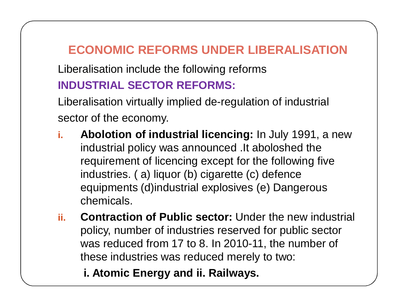## **ECONOMIC REFORMS UNDER LIBERALISATION**

Liberalisation include the following reforms **INDUSTRIAL SECTOR REFORMS:**

Liberalisation virtually implied de-regulation of industrial sector of the economy.

- **i. Abolotion of industrial licencing:** In July 1991, a new industrial policy was announced .It aboloshed the requirement of licencing except for the following five industries. ( a) liquor (b) cigarette (c) defence equipments (d)industrial explosives (e) Dangerous chemicals.
- **ii. Contraction of Public sector:** Under the new industrial policy, number of industries reserved for public sector was reduced from 17 to 8. In 2010-11, the number of these industries was reduced merely to two:

**i. Atomic Energy and ii. Railways.**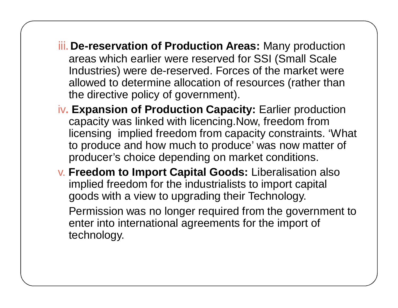- iii. **De-reservation of Production Areas:** Many production areas which earlier were reserved for SSI (Small Scale Industries) were de-reserved. Forces of the market were allowed to determine allocation of resources (rather than the directive policy of government).
- iv**. Expansion of Production Capacity:** Earlier production capacity was linked with licencing.Now, freedom from licensing implied freedom from capacity constraints. 'What to produce and how much to produce' was now matter of producer's choice depending on market conditions.
- v. **Freedom to Import Capital Goods:** Liberalisation also implied freedom for the industrialists to import capital goods with a view to upgrading their Technology. Permission was no longer required from the government to enter into international agreements for the import of technology.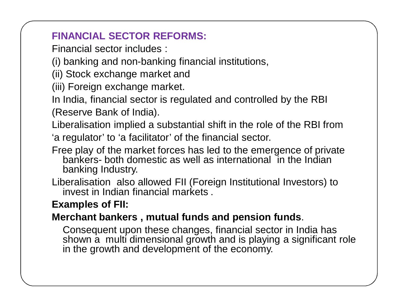#### **FINANCIAL SECTOR REFORMS:**

Financial sector includes :

(i) banking and non-banking financial institutions,

(ii) Stock exchange market and

(iii) Foreign exchange market.

In India, financial sector is regulated and controlled by the RBI (Reserve Bank of India).

Liberalisation implied a substantial shift in the role of the RBI from 'a regulator' to 'a facilitator' of the financial sector.

- Free play of the market forces has led to the emergence of private bankers- both domestic as well as international in the Indian banking Industry.
- Liberalisation also allowed FII (Foreign Institutional Investors) to invest in Indian financial markets .

#### **Examples of FII:**

#### **Merchant bankers , mutual funds and pension funds**.

Consequent upon these changes, financial sector in India has shown a multi dimensional growth and is playing a significant role in the growth and development of the economy.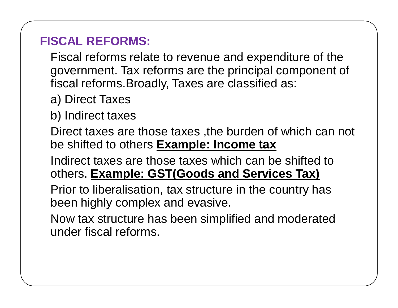### **FISCAL REFORMS:**

Fiscal reforms relate to revenue and expenditure of the government. Tax reforms are the principal component of fiscal reforms.Broadly, Taxes are classified as:

- a) Direct Taxes
- b) Indirect taxes

Direct taxes are those taxes ,the burden of which can not be shifted to others **Example: Income tax**

Indirect taxes are those taxes which can be shifted to others. **Example: GST(Goods and Services Tax)**

Prior to liberalisation, tax structure in the country has been highly complex and evasive.

Now tax structure has been simplified and moderated under fiscal reforms.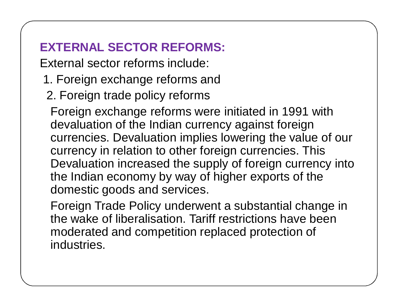## **EXTERNAL SECTOR REFORMS:**

External sector reforms include:

- 1. Foreign exchange reforms and
- 2. Foreign trade policy reforms

Foreign exchange reforms were initiated in 1991 with devaluation of the Indian currency against foreign currencies. Devaluation implies lowering the value of our currency in relation to other foreign currencies. This Devaluation increased the supply of foreign currency into the Indian economy by way of higher exports of the domestic goods and services.

Foreign Trade Policy underwent a substantial change in the wake of liberalisation. Tariff restrictions have been moderated and competition replaced protection of industries.